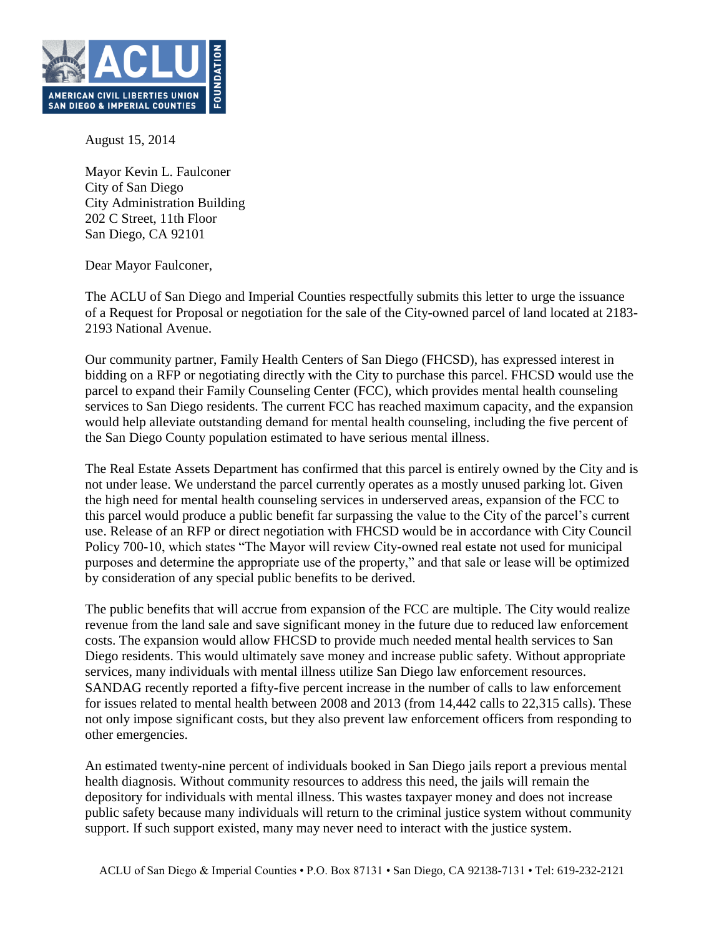

August 15, 2014

Mayor Kevin L. Faulconer City of San Diego City Administration Building 202 C Street, 11th Floor San Diego, CA 92101

Dear Mayor Faulconer,

The ACLU of San Diego and Imperial Counties respectfully submits this letter to urge the issuance of a Request for Proposal or negotiation for the sale of the City-owned parcel of land located at 2183- 2193 National Avenue.

Our community partner, Family Health Centers of San Diego (FHCSD), has expressed interest in bidding on a RFP or negotiating directly with the City to purchase this parcel. FHCSD would use the parcel to expand their Family Counseling Center (FCC), which provides mental health counseling services to San Diego residents. The current FCC has reached maximum capacity, and the expansion would help alleviate outstanding demand for mental health counseling, including the five percent of the San Diego County population estimated to have serious mental illness.

The Real Estate Assets Department has confirmed that this parcel is entirely owned by the City and is not under lease. We understand the parcel currently operates as a mostly unused parking lot. Given the high need for mental health counseling services in underserved areas, expansion of the FCC to this parcel would produce a public benefit far surpassing the value to the City of the parcel's current use. Release of an RFP or direct negotiation with FHCSD would be in accordance with City Council Policy 700-10, which states "The Mayor will review City-owned real estate not used for municipal purposes and determine the appropriate use of the property," and that sale or lease will be optimized by consideration of any special public benefits to be derived.

The public benefits that will accrue from expansion of the FCC are multiple. The City would realize revenue from the land sale and save significant money in the future due to reduced law enforcement costs. The expansion would allow FHCSD to provide much needed mental health services to San Diego residents. This would ultimately save money and increase public safety. Without appropriate services, many individuals with mental illness utilize San Diego law enforcement resources. SANDAG recently reported a fifty-five percent increase in the number of calls to law enforcement for issues related to mental health between 2008 and 2013 (from 14,442 calls to 22,315 calls). These not only impose significant costs, but they also prevent law enforcement officers from responding to other emergencies.

An estimated twenty-nine percent of individuals booked in San Diego jails report a previous mental health diagnosis. Without community resources to address this need, the jails will remain the depository for individuals with mental illness. This wastes taxpayer money and does not increase public safety because many individuals will return to the criminal justice system without community support. If such support existed, many may never need to interact with the justice system.